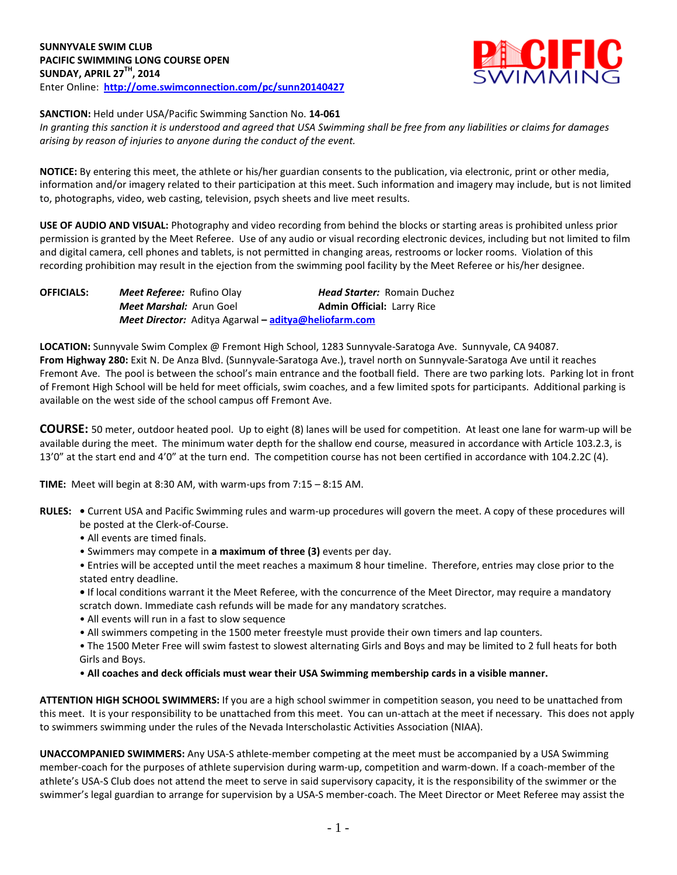

**SANCTION:** Held under USA/Pacific Swimming Sanction No. **14-061**

*In granting this sanction it is understood and agreed that USA Swimming shall be free from any liabilities or claims for damages arising by reason of injuries to anyone during the conduct of the event.*

**NOTICE:** By entering this meet, the athlete or his/her guardian consents to the publication, via electronic, print or other media, information and/or imagery related to their participation at this meet. Such information and imagery may include, but is not limited to, photographs, video, web casting, television, psych sheets and live meet results.

**USE OF AUDIO AND VISUAL:** Photography and video recording from behind the blocks or starting areas is prohibited unless prior permission is granted by the Meet Referee. Use of any audio or visual recording electronic devices, including but not limited to film and digital camera, cell phones and tablets, is not permitted in changing areas, restrooms or locker rooms. Violation of this recording prohibition may result in the ejection from the swimming pool facility by the Meet Referee or his/her designee.

| <b>OFFICIALS:</b> | <b>Meet Referee:</b> Rufino Olay                     | <b>Head Starter:</b> Romain Duchez |
|-------------------|------------------------------------------------------|------------------------------------|
|                   | <b>Meet Marshal:</b> Arun Goel                       | <b>Admin Official: Larry Rice</b>  |
|                   | Meet Director: Aditya Agarwal – aditya@heliofarm.com |                                    |

**LOCATION:** Sunnyvale Swim Complex @ Fremont High School, 1283 Sunnyvale-Saratoga Ave. Sunnyvale, CA 94087. **From Highway 280:** Exit N. De Anza Blvd. (Sunnyvale-Saratoga Ave.), travel north on Sunnyvale-Saratoga Ave until it reaches Fremont Ave. The pool is between the school's main entrance and the football field. There are two parking lots. Parking lot in front of Fremont High School will be held for meet officials, swim coaches, and a few limited spots for participants. Additional parking is available on the west side of the school campus off Fremont Ave.

**COURSE:** 50 meter, outdoor heated pool. Up to eight (8) lanes will be used for competition. At least one lane for warm-up will be available during the meet. The minimum water depth for the shallow end course, measured in accordance with Article 103.2.3, is 13'0" at the start end and 4'0" at the turn end. The competition course has not been certified in accordance with 104.2.2C (4).

**TIME:** Meet will begin at 8:30 AM, with warm-ups from 7:15 – 8:15 AM.

- **RULES:** Current USA and Pacific Swimming rules and warm-up procedures will govern the meet. A copy of these procedures will be posted at the Clerk-of-Course.
	- All events are timed finals.
	- Swimmers may compete in **a maximum of three (3)** events per day.
	- Entries will be accepted until the meet reaches a maximum 8 hour timeline. Therefore, entries may close prior to the stated entry deadline.
	- If local conditions warrant it the Meet Referee, with the concurrence of the Meet Director, may require a mandatory scratch down. Immediate cash refunds will be made for any mandatory scratches.
	- All events will run in a fast to slow sequence
	- All swimmers competing in the 1500 meter freestyle must provide their own timers and lap counters.
	- The 1500 Meter Free will swim fastest to slowest alternating Girls and Boys and may be limited to 2 full heats for both Girls and Boys.
	- **All coaches and deck officials must wear their USA Swimming membership cards in a visible manner.**

**ATTENTION HIGH SCHOOL SWIMMERS:** If you are a high school swimmer in competition season, you need to be unattached from this meet. It is your responsibility to be unattached from this meet. You can un-attach at the meet if necessary. This does not apply to swimmers swimming under the rules of the Nevada Interscholastic Activities Association (NIAA).

**UNACCOMPANIED SWIMMERS:** Any USA-S athlete-member competing at the meet must be accompanied by a USA Swimming member-coach for the purposes of athlete supervision during warm-up, competition and warm-down. If a coach-member of the athlete's USA-S Club does not attend the meet to serve in said supervisory capacity, it is the responsibility of the swimmer or the swimmer's legal guardian to arrange for supervision by a USA-S member-coach. The Meet Director or Meet Referee may assist the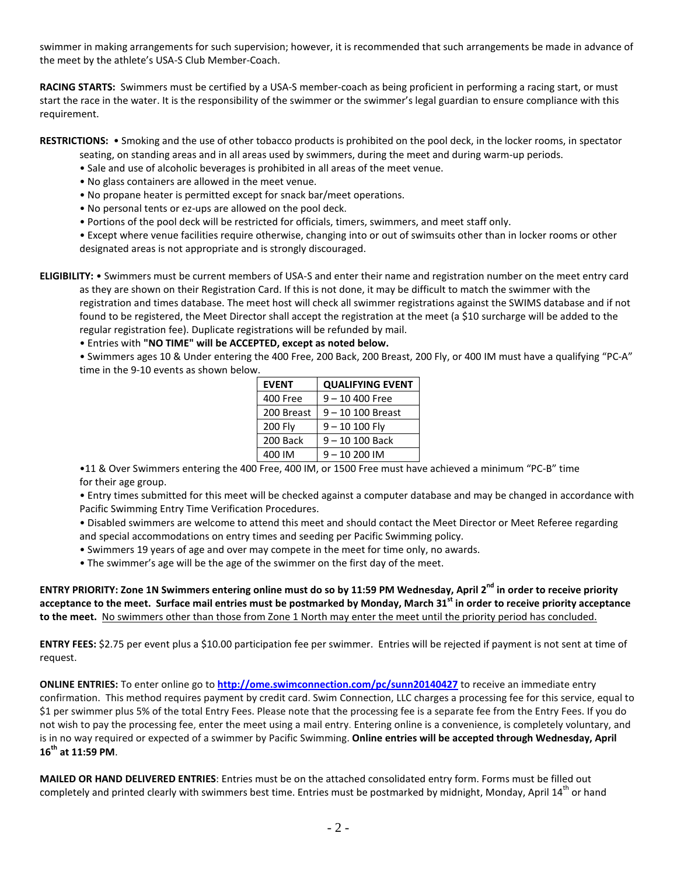swimmer in making arrangements for such supervision; however, it is recommended that such arrangements be made in advance of the meet by the athlete's USA-S Club Member-Coach.

**RACING STARTS:** Swimmers must be certified by a USA-S member-coach as being proficient in performing a racing start, or must start the race in the water. It is the responsibility of the swimmer or the swimmer's legal guardian to ensure compliance with this requirement.

**RESTRICTIONS:** • Smoking and the use of other tobacco products is prohibited on the pool deck, in the locker rooms, in spectator

- seating, on standing areas and in all areas used by swimmers, during the meet and during warm-up periods.
- Sale and use of alcoholic beverages is prohibited in all areas of the meet venue.
- No glass containers are allowed in the meet venue.
- No propane heater is permitted except for snack bar/meet operations.
- No personal tents or ez-ups are allowed on the pool deck.
- Portions of the pool deck will be restricted for officials, timers, swimmers, and meet staff only.

• Except where venue facilities require otherwise, changing into or out of swimsuits other than in locker rooms or other designated areas is not appropriate and is strongly discouraged.

**ELIGIBILITY:** • Swimmers must be current members of USA-S and enter their name and registration number on the meet entry card as they are shown on their Registration Card. If this is not done, it may be difficult to match the swimmer with the registration and times database. The meet host will check all swimmer registrations against the SWIMS database and if not found to be registered, the Meet Director shall accept the registration at the meet (a \$10 surcharge will be added to the regular registration fee). Duplicate registrations will be refunded by mail.

• Entries with **"NO TIME" will be ACCEPTED, except as noted below.**

• Swimmers ages 10 & Under entering the 400 Free, 200 Back, 200 Breast, 200 Fly, or 400 IM must have a qualifying "PC-A" time in the 9-10 events as shown below.

| <b>EVENT</b> | <b>QUALIFYING EVENT</b> |  |  |
|--------------|-------------------------|--|--|
| 400 Free     | $9 - 10$ 400 Free       |  |  |
| 200 Breast   | $9 - 10 100$ Breast     |  |  |
| 200 Fly      | $9 - 10 100$ Fly        |  |  |
| 200 Back     | $9 - 10 100$ Back       |  |  |
| 400 IM       | $9 - 10200$ IM          |  |  |

•11 & Over Swimmers entering the 400 Free, 400 IM, or 1500 Free must have achieved a minimum "PC-B" time for their age group.

• Entry times submitted for this meet will be checked against a computer database and may be changed in accordance with Pacific Swimming Entry Time Verification Procedures.

• Disabled swimmers are welcome to attend this meet and should contact the Meet Director or Meet Referee regarding and special accommodations on entry times and seeding per Pacific Swimming policy.

- Swimmers 19 years of age and over may compete in the meet for time only, no awards.
- The swimmer's age will be the age of the swimmer on the first day of the meet.

**ENTRY PRIORITY: Zone 1N Swimmers entering online must do so by 11:59 PM Wednesday, April 2nd in order to receive priority acceptance to the meet. Surface mail entries must be postmarked by Monday, March 31st in order to receive priority acceptance to the meet.** No swimmers other than those from Zone 1 North may enter the meet until the priority period has concluded.

**ENTRY FEES:** \$2.75 per event plus a \$10.00 participation fee per swimmer. Entries will be rejected if payment is not sent at time of request.

**ONLINE ENTRIES:** To enter online go to **<http://ome.swimconnection.com/pc/sunn20140427>** to receive an immediate entry confirmation. This method requires payment by credit card. Swim Connection, LLC charges a processing fee for this service, equal to \$1 per swimmer plus 5% of the total Entry Fees. Please note that the processing fee is a separate fee from the Entry Fees. If you do not wish to pay the processing fee, enter the meet using a mail entry. Entering online is a convenience, is completely voluntary, and is in no way required or expected of a swimmer by Pacific Swimming. **Online entries will be accepted through Wednesday, April 16th at 11:59 PM**.

**MAILED OR HAND DELIVERED ENTRIES**: Entries must be on the attached consolidated entry form. Forms must be filled out completely and printed clearly with swimmers best time. Entries must be postmarked by midnight, Monday, April 14<sup>th</sup> or hand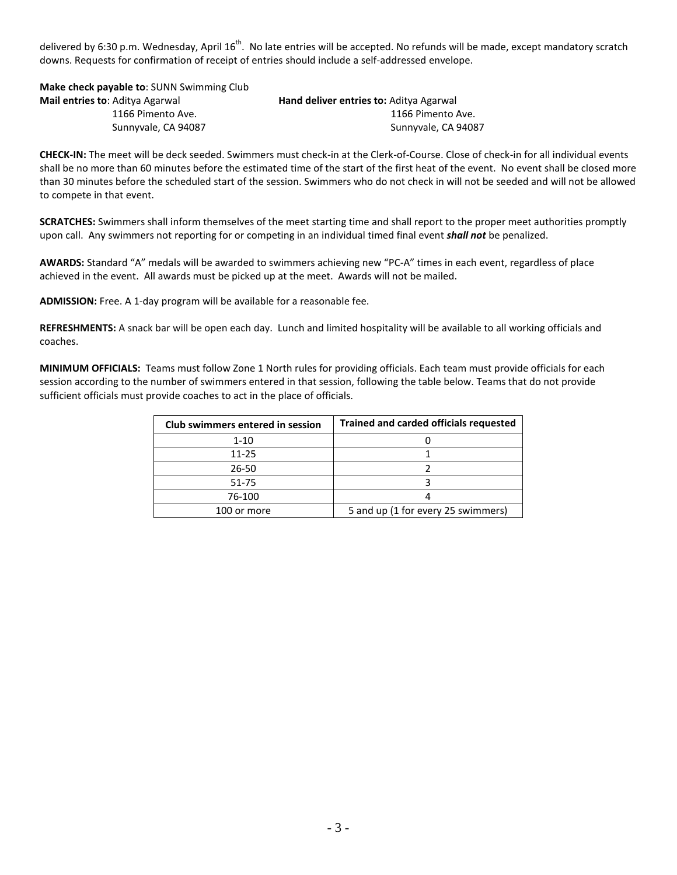delivered by 6:30 p.m. Wednesday, April 16<sup>th</sup>. No late entries will be accepted. No refunds will be made, except mandatory scratch downs. Requests for confirmation of receipt of entries should include a self-addressed envelope.

**Make check payable to**: SUNN Swimming Club **Mail entries to**: Aditya Agarwal **Hand deliver entries to:** Aditya Agarwal

 1166 Pimento Ave. 1166 Pimento Ave. Sunnyvale, CA 94087 Sunnyvale, CA 94087

**CHECK-IN:** The meet will be deck seeded. Swimmers must check-in at the Clerk-of-Course. Close of check-in for all individual events shall be no more than 60 minutes before the estimated time of the start of the first heat of the event. No event shall be closed more than 30 minutes before the scheduled start of the session. Swimmers who do not check in will not be seeded and will not be allowed to compete in that event.

**SCRATCHES:** Swimmers shall inform themselves of the meet starting time and shall report to the proper meet authorities promptly upon call. Any swimmers not reporting for or competing in an individual timed final event *shall not* be penalized.

**AWARDS:** Standard "A" medals will be awarded to swimmers achieving new "PC-A" times in each event, regardless of place achieved in the event. All awards must be picked up at the meet. Awards will not be mailed.

**ADMISSION:** Free. A 1-day program will be available for a reasonable fee.

**REFRESHMENTS:** A snack bar will be open each day. Lunch and limited hospitality will be available to all working officials and coaches.

**MINIMUM OFFICIALS:** Teams must follow Zone 1 North rules for providing officials. Each team must provide officials for each session according to the number of swimmers entered in that session, following the table below. Teams that do not provide sufficient officials must provide coaches to act in the place of officials.

| Club swimmers entered in session | <b>Trained and carded officials requested</b> |  |  |
|----------------------------------|-----------------------------------------------|--|--|
| $1 - 10$                         |                                               |  |  |
| $11 - 25$                        |                                               |  |  |
| 26-50                            |                                               |  |  |
| 51-75                            |                                               |  |  |
| 76-100                           |                                               |  |  |
| 100 or more                      | 5 and up (1 for every 25 swimmers)            |  |  |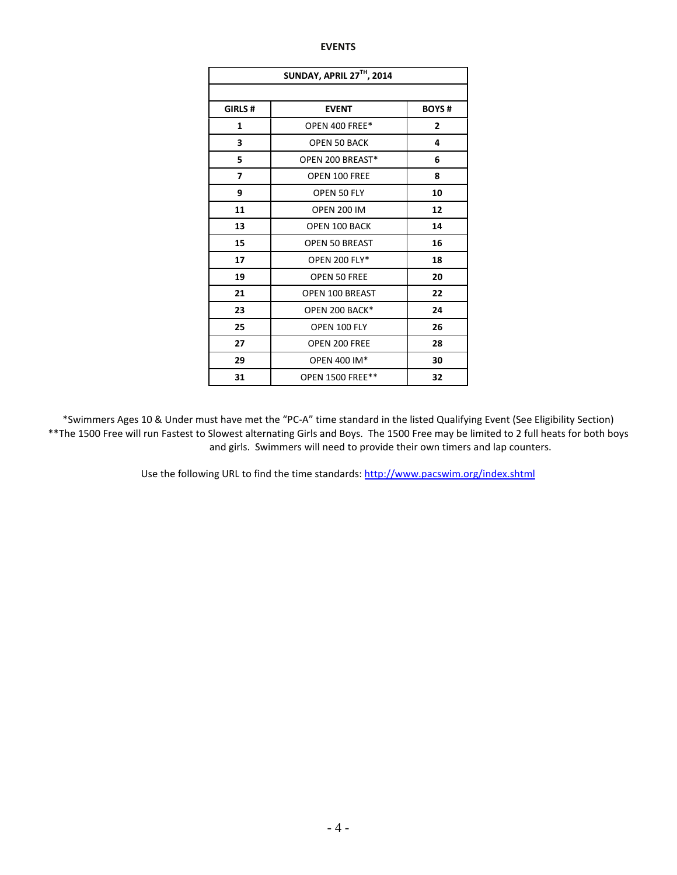## **EVENTS**

| SUNDAY, APRIL 27TH, 2014      |                       |              |  |  |  |  |
|-------------------------------|-----------------------|--------------|--|--|--|--|
|                               |                       |              |  |  |  |  |
| GIRLS #<br><b>EVENT</b>       |                       | <b>BOYS#</b> |  |  |  |  |
| 1                             | OPEN 400 FREE*        | $\mathbf{2}$ |  |  |  |  |
| 3                             | <b>OPEN 50 BACK</b>   | 4            |  |  |  |  |
| 5                             | OPEN 200 BREAST*<br>6 |              |  |  |  |  |
| 7                             | OPEN 100 FREE<br>8    |              |  |  |  |  |
| 9                             | OPEN 50 FLY           | 10           |  |  |  |  |
| 11                            | <b>OPEN 200 IM</b>    | 12           |  |  |  |  |
| 13                            | <b>OPEN 100 BACK</b>  | 14           |  |  |  |  |
| 15                            | <b>OPEN 50 BREAST</b> | 16           |  |  |  |  |
| 17                            | <b>OPEN 200 FLY*</b>  | 18           |  |  |  |  |
| 19                            | <b>OPEN 50 FREE</b>   | 20           |  |  |  |  |
| 21                            | OPEN 100 BREAST       | 22           |  |  |  |  |
| 23                            | OPEN 200 BACK*        | 24           |  |  |  |  |
| 25                            | OPEN 100 FLY          | 26           |  |  |  |  |
| 27                            | OPEN 200 FREE         |              |  |  |  |  |
| 29                            | OPEN 400 IM*          |              |  |  |  |  |
| 31<br><b>OPEN 1500 FREE**</b> |                       | 32           |  |  |  |  |

\*Swimmers Ages 10 & Under must have met the "PC-A" time standard in the listed Qualifying Event (See Eligibility Section) \*\*The 1500 Free will run Fastest to Slowest alternating Girls and Boys. The 1500 Free may be limited to 2 full heats for both boys and girls. Swimmers will need to provide their own timers and lap counters.

Use the following URL to find the time standards:<http://www.pacswim.org/index.shtml>